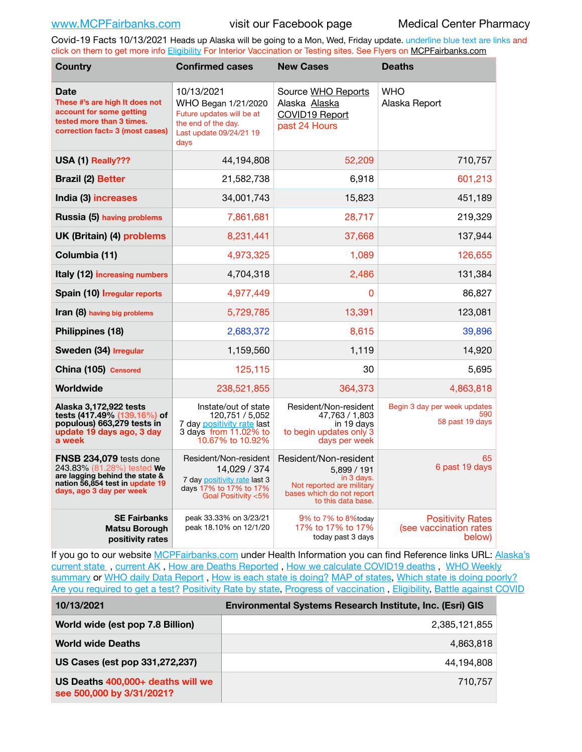Covid-19 Facts 10/13/2021 Heads up Alaska will be going to a Mon, Wed, Friday update. underline blue text are links and click on them to get more info [Eligibility](http://dhss.alaska.gov/dph/Epi/id/Pages/COVID-19/VaccineAvailability.aspx) For Interior Vaccination or Testing sites. See Flyers on [MCPFairbanks.com](http://www.MCPFairbanks.com)

| <b>Country</b>                                                                                                                                         | <b>Confirmed cases</b>                                                                                                   | <b>New Cases</b>                                                                                                                   | <b>Deaths</b>                                               |
|--------------------------------------------------------------------------------------------------------------------------------------------------------|--------------------------------------------------------------------------------------------------------------------------|------------------------------------------------------------------------------------------------------------------------------------|-------------------------------------------------------------|
| Date<br>These #'s are high It does not<br>account for some getting<br>tested more than 3 times.<br>correction fact= 3 (most cases)                     | 10/13/2021<br>WHO Began 1/21/2020<br>Future updates will be at<br>the end of the day.<br>Last update 09/24/21 19<br>days | Source WHO Reports<br>Alaska Alaska<br>COVID19 Report<br>past 24 Hours                                                             | <b>WHO</b><br>Alaska Report                                 |
| USA (1) Really???                                                                                                                                      | 44.194.808                                                                                                               | 52,209                                                                                                                             | 710,757                                                     |
| <b>Brazil (2) Better</b>                                                                                                                               | 21,582,738                                                                                                               | 6.918                                                                                                                              | 601,213                                                     |
| India (3) increases                                                                                                                                    | 34,001,743                                                                                                               | 15,823                                                                                                                             | 451,189                                                     |
| Russia (5) having problems                                                                                                                             | 7,861,681                                                                                                                | 28,717                                                                                                                             | 219,329                                                     |
| UK (Britain) (4) problems                                                                                                                              | 8,231,441                                                                                                                | 37,668                                                                                                                             | 137,944                                                     |
| Columbia (11)                                                                                                                                          | 4,973,325                                                                                                                | 1,089                                                                                                                              | 126,655                                                     |
| Italy (12) increasing numbers                                                                                                                          | 4,704,318                                                                                                                | 2,486                                                                                                                              | 131,384                                                     |
| Spain (10) Irregular reports                                                                                                                           | 4,977,449                                                                                                                | $\Omega$                                                                                                                           | 86,827                                                      |
| Iran (8) having big problems                                                                                                                           | 5,729,785                                                                                                                | 13,391                                                                                                                             | 123,081                                                     |
| Philippines (18)                                                                                                                                       | 2,683,372                                                                                                                | 8,615                                                                                                                              | 39,896                                                      |
| Sweden (34) Irregular                                                                                                                                  | 1,159,560                                                                                                                | 1,119                                                                                                                              | 14,920                                                      |
| China (105) Censored                                                                                                                                   | 125,115                                                                                                                  | 30                                                                                                                                 | 5,695                                                       |
| Worldwide                                                                                                                                              | 238,521,855                                                                                                              | 364.373                                                                                                                            | 4,863,818                                                   |
| Alaska 3,172,922 tests<br>tests (417.49% (139.16%) of<br>populous) 663,279 tests in<br>update 19 days ago, 3 day<br>a week                             | Instate/out of state<br>120,751 / 5,052<br>7 day positivity rate last<br>3 days from 11.02% to<br>10.67% to 10.92%       | Resident/Non-resident<br>47,763 / 1,803<br>in 19 days<br>to begin updates only 3<br>days per week                                  | Begin 3 day per week updates<br>590<br>58 past 19 days      |
| FNSB 234,079 tests done<br>243.83% (81.28%) tested We<br>are lagging behind the state &<br>nation 56,854 test in update 19<br>days, ago 3 day per week | Resident/Non-resident<br>14,029 / 374<br>7 day positivity rate last 3<br>days 17% to 17% to 17%<br>Goal Positivity <5%   | Resident/Non-resident<br>5,899 / 191<br>in 3 days.<br>Not reported are military<br>bases which do not report<br>to this data base. | 65<br>6 past 19 days                                        |
| <b>SE Fairbanks</b><br><b>Matsu Borough</b><br>positivity rates                                                                                        | peak 33.33% on 3/23/21<br>peak 18.10% on 12/1/20                                                                         | 9% to 7% to 8%today<br>17% to 17% to 17%<br>today past 3 days                                                                      | <b>Positivity Rates</b><br>(see vaccination rates<br>below) |

If you go to our website [MCPFairbanks.com](http://www.MCPFairbanks.com) under Health Information you can find Reference links URL: Alaska's [current state](https://coronavirus-response-alaska-dhss.hub.arcgis.com) , [current AK](http://dhss.alaska.gov/dph/Epi/id/Pages/COVID-19/communications.aspx#cases) , [How are Deaths Reported](http://dhss.alaska.gov/dph/Epi/id/Pages/COVID-19/deathcounts.aspx) , [How we calculate COVID19 deaths](https://coronavirus-response-alaska-dhss.hub.arcgis.com/search?collection=Document&groupIds=41ccb3344ebc4bd682c74073eba21f42) , [WHO Weekly](http://www.who.int)  [summary](http://www.who.int) or [WHO daily Data Report](https://covid19.who.int/table), [How is each state is doing?](https://www.msn.com/en-us/news/us/state-by-state-coronavirus-news/ar-BB13E1PX?fbclid=IwAR0_OBJH7lSyTN3ug_MsOeFnNgB1orTa9OBgilKJ7dhnwlVvHEsptuKkj1c) [MAP of states,](https://www.nationalgeographic.com/science/graphics/graphic-tracking-coronavirus-infections-us?cmpid=org=ngp::mc=crm-email::src=ngp::cmp=editorial::add=SpecialEdition_20210305&rid=B9A6DF5992658E8E35CE023113CFEA4C) [Which state is doing poorly?](https://bestlifeonline.com/covid-outbreak-your-state/?utm_source=nsltr&utm_medium=email&utm_content=covid-outbreak-your-state&utm_campaign=launch) [Are you required to get a test?](http://dhss.alaska.gov/dph/Epi/id/SiteAssets/Pages/HumanCoV/Whattodoafteryourtest.pdf) [Positivity Rate by state](https://coronavirus.jhu.edu/testing/individual-states/alaska), Progress of vaccination, [Eligibility,](http://dhss.alaska.gov/dph/Epi/id/Pages/COVID-19/VaccineAvailability.aspx) [Battle against COVID](https://www.nationalgeographic.com/science/graphics/graphic-tracking-coronavirus-infections-us?cmpid=org=ngp::mc=crm-email::src=ngp::cmp=editorial::add=SpecialEdition_20210219&rid=B9A6DF5992658E8E35CE023113CFEA4C)

| 10/13/2021                                                     | <b>Environmental Systems Research Institute, Inc. (Esri) GIS</b> |  |
|----------------------------------------------------------------|------------------------------------------------------------------|--|
| World wide (est pop 7.8 Billion)                               | 2,385,121,855                                                    |  |
| <b>World wide Deaths</b>                                       | 4,863,818                                                        |  |
| US Cases (est pop 331,272,237)                                 | 44,194,808                                                       |  |
| US Deaths 400,000+ deaths will we<br>see 500,000 by 3/31/2021? | 710.757                                                          |  |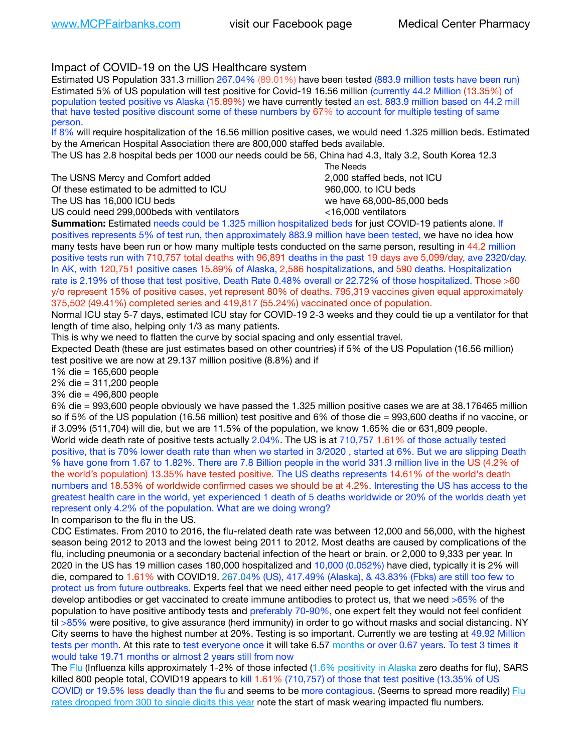## Impact of COVID-19 on the US Healthcare system

Estimated US Population 331.3 million 267.04% (89.01%) have been tested (883.9 million tests have been run) Estimated 5% of US population will test positive for Covid-19 16.56 million (currently 44.2 Million (13.35%) of population tested positive vs Alaska (15.89%) we have currently tested an est. 883.9 million based on 44.2 mill that have tested positive discount some of these numbers by 67% to account for multiple testing of same person.

If 8% will require hospitalization of the 16.56 million positive cases, we would need 1.325 million beds. Estimated by the American Hospital Association there are 800,000 staffed beds available.

The US has 2.8 hospital beds per 1000 our needs could be 56, China had 4.3, Italy 3.2, South Korea 12.3

The USNS Mercy and Comfort added 2,000 staffed beds, not ICU Of these estimated to be admitted to ICU 860,000. to ICU beds The US has 16,000 ICU beds we have 68,000-85,000 beds

 The Needs US could need 299,000 beds with ventilators  $\leq 16,000$  ventilators

**Summation:** Estimated needs could be 1.325 million hospitalized beds for just COVID-19 patients alone. If positives represents 5% of test run, then approximately 883.9 million have been tested, we have no idea how many tests have been run or how many multiple tests conducted on the same person, resulting in 44.2 million positive tests run with 710,757 total deaths with 96,891 deaths in the past 19 days ave 5,099/day, ave 2320/day. In AK, with 120,751 positive cases 15.89% of Alaska, 2,586 hospitalizations, and 590 deaths. Hospitalization rate is 2.19% of those that test positive, Death Rate 0.48% overall or 22.72% of those hospitalized. Those >60 y/o represent 15% of positive cases, yet represent 80% of deaths. 795,319 vaccines given equal approximately 375,502 (49.41%) completed series and 419,817 (55.24%) vaccinated once of population.

Normal ICU stay 5-7 days, estimated ICU stay for COVID-19 2-3 weeks and they could tie up a ventilator for that length of time also, helping only 1/3 as many patients.

This is why we need to flatten the curve by social spacing and only essential travel.

Expected Death (these are just estimates based on other countries) if 5% of the US Population (16.56 million) test positive we are now at 29.137 million positive (8.8%) and if

1% die = 165,600 people

2% die = 311,200 people

3% die = 496,800 people

6% die = 993,600 people obviously we have passed the 1.325 million positive cases we are at 38.176465 million so if 5% of the US population (16.56 million) test positive and 6% of those die = 993,600 deaths if no vaccine, or if 3.09% (511,704) will die, but we are 11.5% of the population, we know 1.65% die or 631,809 people. World wide death rate of positive tests actually 2.04%. The US is at 710,757 1.61% of those actually tested positive, that is 70% lower death rate than when we started in 3/2020 , started at 6%. But we are slipping Death % have gone from 1.67 to 1.82%. There are 7.8 Billion people in the world 331.3 million live in the US (4.2% of the world's population) 13.35% have tested positive. The US deaths represents 14.61% of the world's death numbers and 18.53% of worldwide confirmed cases we should be at 4.2%. Interesting the US has access to the greatest health care in the world, yet experienced 1 death of 5 deaths worldwide or 20% of the worlds death yet represent only 4.2% of the population. What are we doing wrong?

In comparison to the flu in the US.

CDC Estimates. From 2010 to 2016, the flu-related death rate was between 12,000 and 56,000, with the highest season being 2012 to 2013 and the lowest being 2011 to 2012. Most deaths are caused by complications of the flu, including pneumonia or a secondary bacterial infection of the heart or brain. or 2,000 to 9,333 per year. In 2020 in the US has 19 million cases 180,000 hospitalized and 10,000 (0.052%) have died, typically it is 2% will die, compared to 1.61% with COVID19. 267.04% (US), 417.49% (Alaska), & 43.83% (Fbks) are still too few to protect us from future outbreaks. Experts feel that we need either need people to get infected with the virus and develop antibodies or get vaccinated to create immune antibodies to protect us, that we need >65% of the population to have positive antibody tests and preferably 70-90%, one expert felt they would not feel confident til >85% were positive, to give assurance (herd immunity) in order to go without masks and social distancing. NY City seems to have the highest number at 20%. Testing is so important. Currently we are testing at 49.92 Million tests per month. At this rate to test everyone once it will take 6.57 months or over 0.67 years. To test 3 times it would take 19.71 months or almost 2 years still from now

The [Flu](https://lnks.gd/l/eyJhbGciOiJIUzI1NiJ9.eyJidWxsZXRpbl9saW5rX2lkIjoxMDMsInVyaSI6ImJwMjpjbGljayIsImJ1bGxldGluX2lkIjoiMjAyMTAyMjYuMzYwNDA3NTEiLCJ1cmwiOiJodHRwczovL3d3dy5jZGMuZ292L2ZsdS93ZWVrbHkvb3ZlcnZpZXcuaHRtIn0.ePMA_hsZ-pTnhWSyg1gHvHWYTu2XceVOt0JejxvP1WE/s/500544915/br/98428119752-l) (Influenza kills approximately 1-2% of those infected ([1.6% positivity in Alaska](http://dhss.alaska.gov/dph/Epi/id/SiteAssets/Pages/influenza/trends/Snapshot.pdf) zero deaths for flu), SARS killed 800 people total, COVID19 appears to kill 1.61% (710,757) of those that test positive (13.35% of US COVID) or 19.5% less deadly than the flu and seems to be more contagious. (Seems to spread more readily) Flu [rates dropped from 300 to single digits this year](https://lnks.gd/l/eyJhbGciOiJIUzI1NiJ9.eyJidWxsZXRpbl9saW5rX2lkIjoxMDEsInVyaSI6ImJwMjpjbGljayIsImJ1bGxldGluX2lkIjoiMjAyMTAyMjYuMzYwNDA3NTEiLCJ1cmwiOiJodHRwOi8vZGhzcy5hbGFza2EuZ292L2RwaC9FcGkvaWQvUGFnZXMvaW5mbHVlbnphL2ZsdWluZm8uYXNweCJ9.oOe3nt2fww6XpsNhb4FZfmtPfPa-irGaldpkURBJhSo/s/500544915/br/98428119752-l) note the start of mask wearing impacted flu numbers.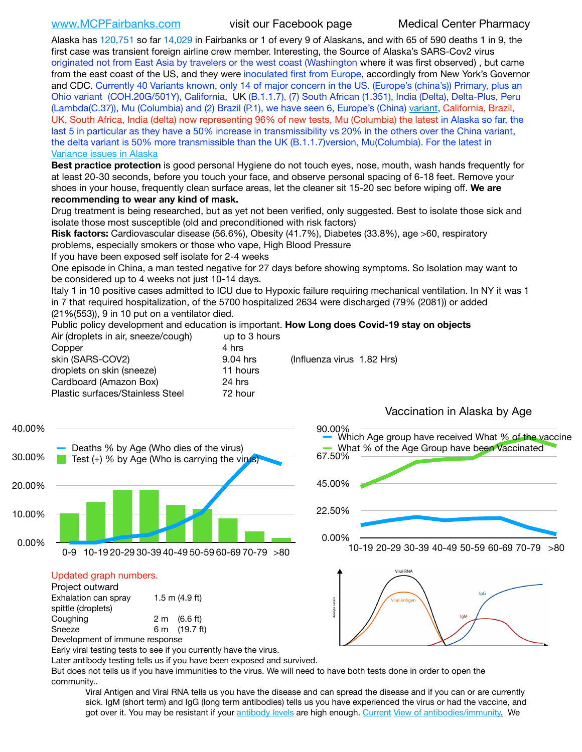[www.MCPFairbanks.com](http://www.MCPFairbanks.com) visit our Facebook page Medical Center Pharmacy

Alaska has 120,751 so far 14,029 in Fairbanks or 1 of every 9 of Alaskans, and with 65 of 590 deaths 1 in 9, the first case was transient foreign airline crew member. Interesting, the Source of Alaska's SARS-Cov2 virus originated not from East Asia by travelers or the west coast (Washington where it was first observed) , but came from the east coast of the US, and they were inoculated first from Europe, accordingly from New York's Governor and CDC. Currently 40 Variants known, only 14 of major concern in the US. (Europe's (china's)) Primary, plus an Ohio variant (COH.20G/501Y), California, [UK](https://www.cdc.gov/coronavirus/2019-ncov/transmission/variant-cases.html) (B.1.1.7), (7) South African (1.351), India (Delta), Delta-Plus, Peru (Lambda(C.37)), Mu (Columbia) and (2) Brazil (P.1), we have seen 6, Europe's (China) [variant,](https://www.webmd.com/lung/news/20210318/cdc-who-create-threat-levels-for-covid-variants?ecd=wnl_cvd_031921&ctr=wnl-cvd-031921&mb=kYbf7DsHb7YGjh/1RUkcAW0T6iorImAU1TDZh18RYs0=_Support_titleLink_2) California, Brazil, UK, South Africa, India (delta) now representing 96% of new tests, Mu (Columbia) the latest in Alaska so far, the last 5 in particular as they have a 50% increase in transmissibility vs 20% in the others over the China variant, the delta variant is 50% more transmissible than the UK (B.1.1.7)version, Mu(Columbia). For the latest in [Variance issues in Alaska](https://lnks.gd/l/eyJhbGciOiJIUzI1NiJ9.eyJidWxsZXRpbl9saW5rX2lkIjoxMDgsInVyaSI6ImJwMjpjbGljayIsImJ1bGxldGluX2lkIjoiMjAyMTA4MDUuNDQxMzM4NzEiLCJ1cmwiOiJodHRwOi8vZGhzcy5hbGFza2EuZ292L2RwaC9FcGkvaWQvc2l0ZWFzc2V0cy9wYWdlcy9odW1hbmNvdi9BS1NlcUNvbl9HZW5vbWljU2l0dWF0aW9uUmVwb3J0LnBkZiJ9.wjCZc7vYm_CIgdjPTJyJ9ehoQjtub_KeZLTKgTIA69A/s/500544915/br/110405970878-l)

**Best practice protection** is good personal Hygiene do not touch eyes, nose, mouth, wash hands frequently for at least 20-30 seconds, before you touch your face, and observe personal spacing of 6-18 feet. Remove your shoes in your house, frequently clean surface areas, let the cleaner sit 15-20 sec before wiping off. **We are recommending to wear any kind of mask.**

Drug treatment is being researched, but as yet not been verified, only suggested. Best to isolate those sick and isolate those most susceptible (old and preconditioned with risk factors)

**Risk factors:** Cardiovascular disease (56.6%), Obesity (41.7%), Diabetes (33.8%), age >60, respiratory problems, especially smokers or those who vape, High Blood Pressure

If you have been exposed self isolate for 2-4 weeks

One episode in China, a man tested negative for 27 days before showing symptoms. So Isolation may want to be considered up to 4 weeks not just 10-14 days.

Italy 1 in 10 positive cases admitted to ICU due to Hypoxic failure requiring mechanical ventilation. In NY it was 1 in 7 that required hospitalization, of the 5700 hospitalized 2634 were discharged (79% (2081)) or added (21%(553)), 9 in 10 put on a ventilator died.

90.00%

Public policy development and education is important. **How Long does Covid-19 stay on objects**

| Air (droplets in air, sneeze/cough) | up to 3 hours |                            |
|-------------------------------------|---------------|----------------------------|
| Copper                              | 4 hrs         |                            |
| skin (SARS-COV2)                    | 9.04 hrs      | (Influenza virus 1.82 Hrs) |
| droplets on skin (sneeze)           | 11 hours      |                            |
| Cardboard (Amazon Box)              | 24 hrs        |                            |
| Plastic surfaces/Stainless Steel    | 72 hour       |                            |
|                                     |               |                            |



### Updated graph numbers.

| Project outward                |                        |  |
|--------------------------------|------------------------|--|
| Exhalation can spray           | $1.5$ m $(4.9$ ft)     |  |
| spittle (droplets)             |                        |  |
| Coughing                       | $2 \text{ m}$ (6.6 ft) |  |
| Sneeze                         | 6 m (19.7 ft)          |  |
| Development of immune response |                        |  |



Early viral testing tests to see if you currently have the virus.

Later antibody testing tells us if you have been exposed and survived.

But does not tells us if you have immunities to the virus. We will need to have both tests done in order to open the community..

Viral Antigen and Viral RNA tells us you have the disease and can spread the disease and if you can or are currently sick. IgM (short term) and IgG (long term antibodies) tells us you have experienced the virus or had the vaccine, and got over it. You may be resistant if your [antibody levels](https://www.cdc.gov/coronavirus/2019-ncov/lab/resources/antibody-tests.html) are high enough. [Current](https://l.facebook.com/l.php?u=https://www.itv.com/news/2020-10-26/covid-19-antibody-levels-reduce-over-time-study-finds?fbclid=IwAR3Dapzh1qIH1EIOdUQI2y8THf7jfA4KBCaJz8Qg-8xe1YsrR4nsAHDIXSY&h=AT30nut8pkqp0heVuz5W2rT2WFFm-2Ab52BsJxZZCNlGsX58IpPkuVEPULbIUV_M16MAukx1Kwb657DPXxsgDN1rpOQ4gqBtQsmVYiWpnHPJo2RQsU6CPMd14lgLnQnFWxfVi6zvmw&__tn__=-UK-R&c%5B0%5D=AT1GaRAfR_nGAyqcn7TI1-PpvqOqEKXHnz6TDWvRStMnOSH7boQDvTiwTOc6VId9UES6LKiOmm2m88wKCoolkJyOFvakt2Z1Mw8toYWGGoWW23r0MNVBl7cYJXB_UOvGklNHaNnaNr1_S7NhT3BSykNOBg) [View of antibodies/immunity](https://www.livescience.com/antibodies.html)[.](https://www.itv.com/news/2020-10-26/covid-19-antibody-levels-reduce-over-time-study-finds) We

# Vaccination in Alaska by Age

Which Age group have received What % of the vaccine What % of the Age Group have been Vaccinated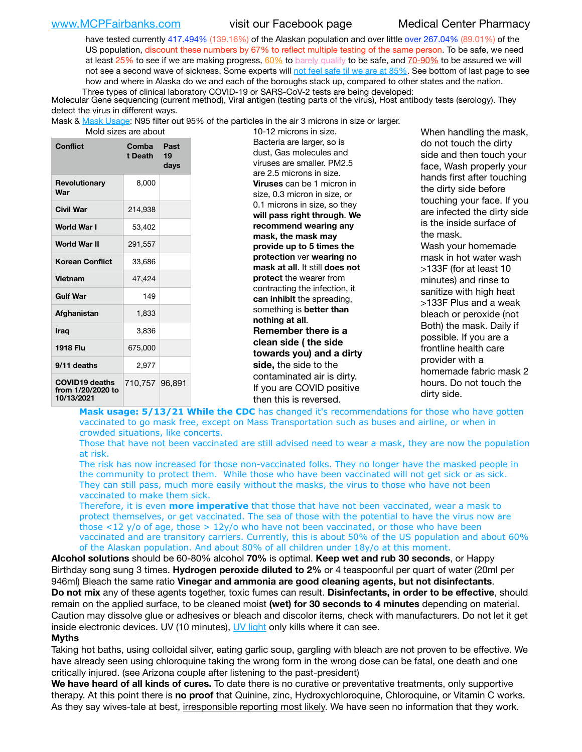[www.MCPFairbanks.com](http://www.MCPFairbanks.com) visit our Facebook page Medical Center Pharmacy

have tested currently 417.494% (139.16%) of the Alaskan population and over little over 267.04% (89.01%) of the US population, discount these numbers by 67% to reflect multiple testing of the same person. To be safe, we need at least  $25\%$  to see if we are making progress,  $60\%$  to [barely qualify](https://www.nature.com/articles/d41586-020-02948-4) to be safe, and  $70-90\%$  to be assured we will not see a second wave of sickness. Some experts will [not feel safe til we are at 85%.](https://www.bannerhealth.com/healthcareblog/teach-me/what-is-herd-immunity) See bottom of last page to see how and where in Alaska do we and each of the boroughs stack up, compared to other states and the nation. Three types of clinical laboratory COVID-19 or SARS-CoV-2 tests are being developed:

 Molecular Gene sequencing (current method), Viral antigen (testing parts of the virus), Host antibody tests (serology). They detect the virus in different ways.

Mask & [Mask Usage:](https://www.nationalgeographic.com/history/2020/03/how-cities-flattened-curve-1918-spanish-flu-pandemic-coronavirus/) N95 filter out 95% of the particles in the air 3 microns in size or larger.

| <b>Conflict</b>                                          | Comba<br>t Death | Past<br>19<br>days |
|----------------------------------------------------------|------------------|--------------------|
| Revolutionary<br>War                                     | 8,000            |                    |
| Civil War                                                | 214.938          |                    |
| World War I                                              | 53,402           |                    |
| World War II                                             | 291,557          |                    |
| <b>Korean Conflict</b>                                   | 33,686           |                    |
| <b>Vietnam</b>                                           | 47.424           |                    |
| <b>Gulf War</b>                                          | 149              |                    |
| Afghanistan                                              | 1,833            |                    |
| <b>Iraq</b>                                              | 3,836            |                    |
| 1918 Flu                                                 | 675,000          |                    |
| 9/11 deaths                                              | 2,977            |                    |
| <b>COVID19 deaths</b><br>from 1/20/2020 to<br>10/13/2021 | 710,757 96,891   |                    |

at are about 10-12 microns in size. Bacteria are larger, so is dust, Gas molecules and viruses are smaller. PM2.5 are 2.5 microns in size. **Viruses** can be 1 micron in size, 0.3 micron in size, or 0.1 microns in size, so they **will pass right through**. **We recommend wearing any mask, the mask may provide up to 5 times the protection** ver **wearing no mask at all**. It still **does not protect** the wearer from contracting the infection, it **can inhibit** the spreading, something is **better than nothing at all**. **Remember there is a clean side ( the side towards you) and a dirty side,** the side to the contaminated air is dirty. If you are COVID positive then this is reversed.

When handling the mask, do not touch the dirty side and then touch your face, Wash properly your hands first after touching the dirty side before touching your face. If you are infected the dirty side is the inside surface of the mask. Wash your homemade mask in hot water wash >133F (for at least 10 minutes) and rinse to sanitize with high heat >133F Plus and a weak bleach or peroxide (not Both) the mask. Daily if possible. If you are a frontline health care provider with a homemade fabric mask 2 hours. Do not touch the dirty side.

Mask usage: 5/13/21 While the CDC has changed it's recommendations for those who have gotten vaccinated to go mask free, except on Mass Transportation such as buses and airline, or when in crowded situations, like concerts.

Those that have not been vaccinated are still advised need to wear a mask, they are now the population at risk.

The risk has now increased for those non-vaccinated folks. They no longer have the masked people in the community to protect them. While those who have been vaccinated will not get sick or as sick. They can still pass, much more easily without the masks, the virus to those who have not been vaccinated to make them sick.

Therefore, it is even **more imperative** that those that have not been vaccinated, wear a mask to protect themselves, or get vaccinated. The sea of those with the potential to have the virus now are those <12 y/o of age, those >  $12y$ /o who have not been vaccinated, or those who have been vaccinated and are transitory carriers. Currently, this is about 50% of the US population and about 60% of the Alaskan population. And about 80% of all children under 18y/o at this moment.

**Alcohol solutions** should be 60-80% alcohol **70%** is optimal. **Keep wet and rub 30 seconds**, or Happy Birthday song sung 3 times. **Hydrogen peroxide diluted to 2%** or 4 teaspoonful per quart of water (20ml per 946ml) Bleach the same ratio **Vinegar and ammonia are good cleaning agents, but not disinfectants**. **Do not mix** any of these agents together, toxic fumes can result. **Disinfectants, in order to be effective**, should remain on the applied surface, to be cleaned moist **(wet) for 30 seconds to 4 minutes** depending on material. Caution may dissolve glue or adhesives or bleach and discolor items, check with manufacturers. Do not let it get inside electronic devices. UV (10 minutes), [UV light](http://www.docreviews.me/best-uv-boxes-2020/?fbclid=IwAR3bvFtXB48OoBBSvYvTEnKuHNPbipxM6jUo82QUSw9wckxjC7wwRZWabGw) only kills where it can see.

### **Myths**

Taking hot baths, using colloidal silver, eating garlic soup, gargling with bleach are not proven to be effective. We have already seen using chloroquine taking the wrong form in the wrong dose can be fatal, one death and one critically injured. (see Arizona couple after listening to the past-president)

**We have heard of all kinds of cures.** To date there is no curative or preventative treatments, only supportive therapy. At this point there is **no proof** that Quinine, zinc, Hydroxychloroquine, Chloroquine, or Vitamin C works. As they say wives-tale at best, irresponsible reporting most likely. We have seen no information that they work.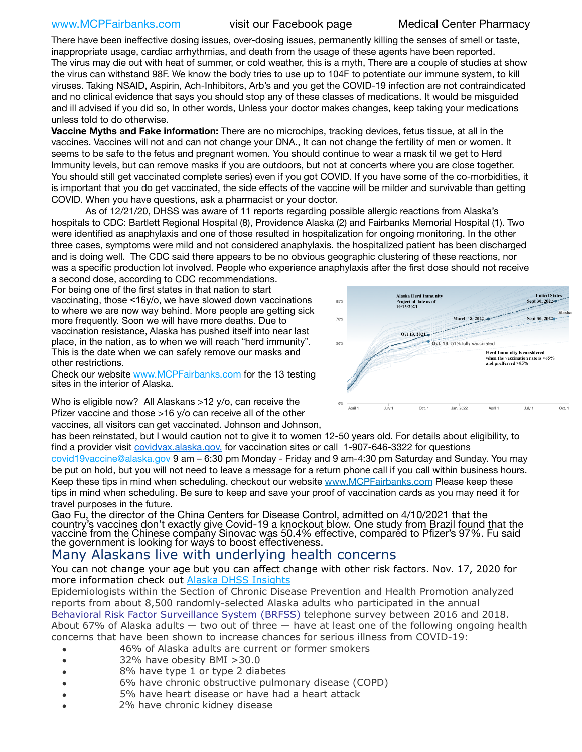[www.MCPFairbanks.com](http://www.MCPFairbanks.com) visit our Facebook page Medical Center Pharmacy

There have been ineffective dosing issues, over-dosing issues, permanently killing the senses of smell or taste, inappropriate usage, cardiac arrhythmias, and death from the usage of these agents have been reported. The virus may die out with heat of summer, or cold weather, this is a myth, There are a couple of studies at show the virus can withstand 98F. We know the body tries to use up to 104F to potentiate our immune system, to kill viruses. Taking NSAID, Aspirin, Ach-Inhibitors, Arb's and you get the COVID-19 infection are not contraindicated and no clinical evidence that says you should stop any of these classes of medications. It would be misguided and ill advised if you did so, In other words, Unless your doctor makes changes, keep taking your medications unless told to do otherwise.

**Vaccine Myths and Fake information:** There are no microchips, tracking devices, fetus tissue, at all in the vaccines. Vaccines will not and can not change your DNA., It can not change the fertility of men or women. It seems to be safe to the fetus and pregnant women. You should continue to wear a mask til we get to Herd Immunity levels, but can remove masks if you are outdoors, but not at concerts where you are close together. You should still get vaccinated complete series) even if you got COVID. If you have some of the co-morbidities, it is important that you do get vaccinated, the side effects of the vaccine will be milder and survivable than getting COVID. When you have questions, ask a pharmacist or your doctor.

As of 12/21/20, DHSS was aware of 11 reports regarding possible allergic reactions from Alaska's hospitals to CDC: Bartlett Regional Hospital (8), Providence Alaska (2) and Fairbanks Memorial Hospital (1). Two were identified as anaphylaxis and one of those resulted in hospitalization for ongoing monitoring. In the other three cases, symptoms were mild and not considered anaphylaxis. the hospitalized patient has been discharged and is doing well. The CDC said there appears to be no obvious geographic clustering of these reactions, nor was a specific production lot involved. People who experience anaphylaxis after the first dose should not receive

a second dose, according to CDC recommendations. For being one of the first states in that nation to start vaccinating, those <16y/o, we have slowed down vaccinations to where we are now way behind. More people are getting sick more frequently. Soon we will have more deaths. Due to vaccination resistance, Alaska has pushed itself into near last place, in the nation, as to when we will reach "herd immunity". This is the date when we can safely remove our masks and other restrictions.

Check our website [www.MCPFairbanks.com](http://www.MCPFairbanks.com) for the 13 testing sites in the interior of Alaska.



Who is eligible now? All Alaskans >12 y/o, can receive the Pfizer vaccine and those >16 y/o can receive all of the other

vaccines, all visitors can get vaccinated. Johnson and Johnson,

has been reinstated, but I would caution not to give it to women 12-50 years old. For details about eligibility, to find a provider visit [covidvax.alaska.gov.](https://lnks.gd/l/eyJhbGciOiJIUzI1NiJ9.eyJidWxsZXRpbl9saW5rX2lkIjoxMDYsInVyaSI6ImJwMjpjbGljayIsImJ1bGxldGluX2lkIjoiMjAyMTAxMjguMzQwODU3NjEiLCJ1cmwiOiJodHRwOi8vZGhzcy5hbGFza2EuZ292L2RwaC9FcGkvaWQvUGFnZXMvQ09WSUQtMTkvdmFjY2luZS5hc3B4In0.-Xwhl42jAWOMS7ewfS85uxwrwjohCso3Sb81DuDKtxU/s/500544915/br/93796640171-l) for vaccination sites or call 1-907-646-3322 for questions [covid19vaccine@alaska.gov](mailto:covid19vaccine@alaska.gov?subject=COVID19%20Vaccine%20questions) 9 am – 6:30 pm Monday - Friday and 9 am-4:30 pm Saturday and Sunday. You may be put on hold, but you will not need to leave a message for a return phone call if you call within business hours. Keep these tips in mind when scheduling. checkout our website [www.MCPFairbanks.com](http://www.MCPFairbanks.com) Please keep these tips in mind when scheduling. Be sure to keep and save your proof of vaccination cards as you may need it for

travel purposes in the future. Gao Fu, the director of the China Centers for Disease Control, admitted on 4/10/2021 that the country's vaccines don't exactly give Covid-19 a knockout blow. One study from Brazil found that the vaccine from the Chinese company Sinovac was 50.4% effective, compared to Pfizer's 97%. Fu said the government is looking for ways to boost effectiveness.

# Many Alaskans live with underlying health concerns

You can not change your age but you can affect change with other risk factors. Nov. 17, 2020 for more information check out **[Alaska DHSS Insights](http://dhss.alaska.gov/dph/Epi/id/Pages/COVID-19/blog/20201117.aspx)** 

Epidemiologists within the Section of Chronic Disease Prevention and Health Promotion analyzed reports from about 8,500 randomly-selected Alaska adults who participated in the annual [Behavioral Risk Factor Surveillance System \(BRFSS\)](http://dhss.alaska.gov/dph/Chronic/Pages/brfss/default.aspx) telephone survey between 2016 and 2018. About 67% of Alaska adults — two out of three — have at least one of the following ongoing health concerns that have been shown to increase chances for serious illness from COVID-19:

- 46% of Alaska adults are current or former smokers
- 32% have obesity BMI >30.0
- 8% have type 1 or type 2 diabetes
- 6% have chronic obstructive pulmonary disease (COPD)
- 5% have heart disease or have had a heart attack
- 2% have chronic kidney disease